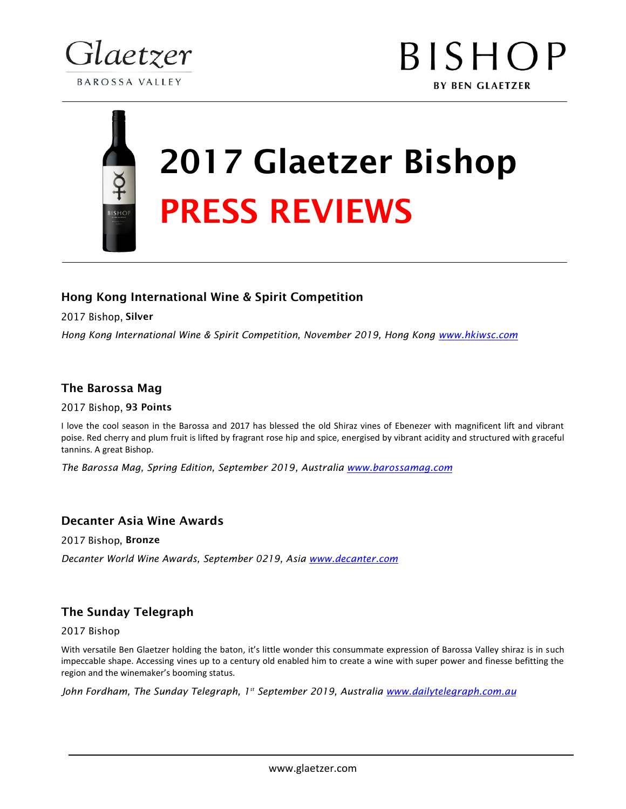

## 2017 Glaetzer Bishop PRESS REVIEWS

#### Hong Kong International Wine & Spirit Competition

2017 Bishop, Silver

*Hong Kong International Wine & Spirit Competition, November 2019, Hong Kong www.hkiwsc.com*

#### The Barossa Mag

2017 Bishop, 93 Points

I love the cool season in the Barossa and 2017 has blessed the old Shiraz vines of Ebenezer with magnificent lift and vibrant poise. Red cherry and plum fruit is lifted by fragrant rose hip and spice, energised by vibrant acidity and structured with graceful tannins. A great Bishop.

*The Barossa Mag, Spring Edition, September 2019, Australia www.barossamag.com* 

#### Decanter Asia Wine Awards

2017 Bishop, Bronze

*Decanter World Wine Awards, September 0219, Asia www.decanter.com* 

#### The Sunday Telegraph

2017 Bishop

With versatile Ben Glaetzer holding the baton, it's little wonder this consummate expression of Barossa Valley shiraz is in such impeccable shape. Accessing vines up to a century old enabled him to create a wine with super power and finesse befitting the region and the winemaker's booming status.

John Fordham, The Sunday Telegraph, 1<sup>st</sup> September 2019, Australia www.dailytelegraph.com.au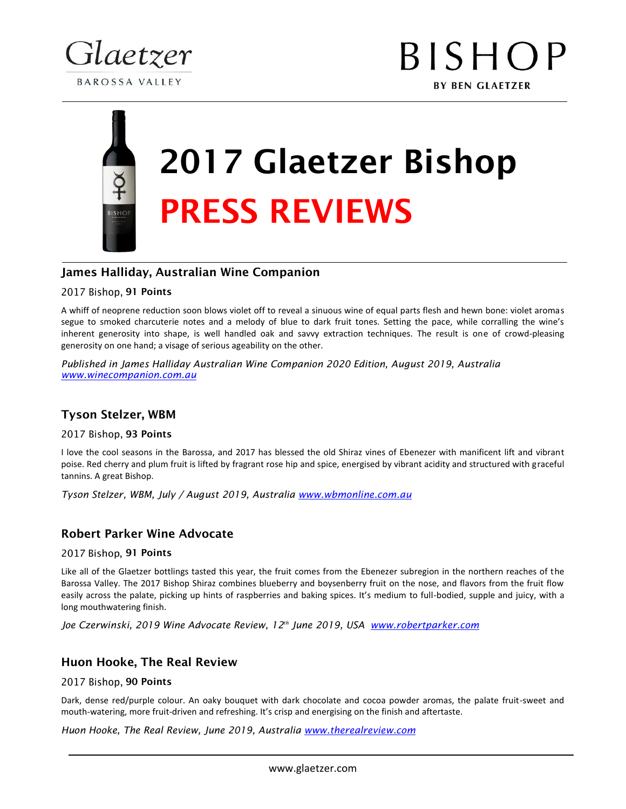

# 2017 Glaetzer Bishop PRESS REVIEWS

#### James Halliday, Australian Wine Companion

#### 2017 Bishop, 91 Points

A whiff of neoprene reduction soon blows violet off to reveal a sinuous wine of equal parts flesh and hewn bone: violet aromas segue to smoked charcuterie notes and a melody of blue to dark fruit tones. Setting the pace, while corralling the wine's inherent generosity into shape, is well handled oak and savvy extraction techniques. The result is one of crowd-pleasing generosity on one hand; a visage of serious ageability on the other.

*Published in James Halliday Australian Wine Companion 2020 Edition, August 2019, Australia www.winecompanion.com.au* 

#### Tyson Stelzer, WBM

2017 Bishop, 93 Points

I love the cool seasons in the Barossa, and 2017 has blessed the old Shiraz vines of Ebenezer with manificent lift and vibrant poise. Red cherry and plum fruit is lifted by fragrant rose hip and spice, energised by vibrant acidity and structured with graceful tannins. A great Bishop.

*Tyson Stelzer, WBM, July / August 2019, Australia www.wbmonline.com.au*

#### Robert Parker Wine Advocate

#### 2017 Bishop, 91 Points

Like all of the Glaetzer bottlings tasted this year, the fruit comes from the Ebenezer subregion in the northern reaches of the Barossa Valley. The 2017 Bishop Shiraz combines blueberry and boysenberry fruit on the nose, and flavors from the fruit flow easily across the palate, picking up hints of raspberries and baking spices. It's medium to full-bodied, supple and juicy, with a long mouthwatering finish.

*Joe Czerwinski, 2019 Wine Advocate Review, 12th June 2019, USA www.robertparker.com*

#### Huon Hooke, The Real Review

#### 2017 Bishop, 90 Points

Dark, dense red/purple colour. An oaky bouquet with dark chocolate and cocoa powder aromas, the palate fruit-sweet and mouth-watering, more fruit-driven and refreshing. It's crisp and energising on the finish and aftertaste.

*Huon Hooke, The Real Review, June 2019, Australia www.therealreview.com*